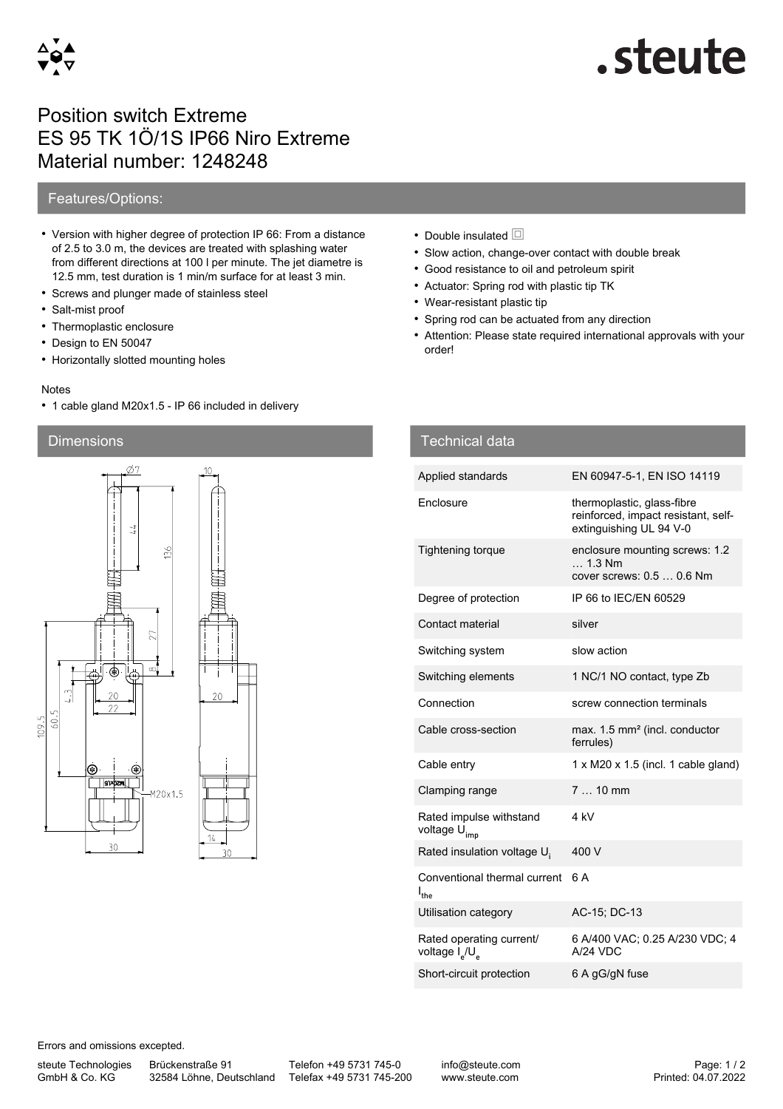

# steute.

## Position switch Extreme ES 95 TK 1Ö/1S IP66 Niro Extreme Material number: 1248248

### Features/Options:

- Version with higher degree of protection IP 66: From a distance of 2.5 to 3.0 m, the devices are treated with splashing water from different directions at 100 l per minute. The jet diametre is 12.5 mm, test duration is 1 min/m surface for at least 3 min.
- Screws and plunger made of stainless steel
- Salt-mist proof
- Thermoplastic enclosure
- Design to EN 50047
- Horizontally slotted mounting holes

#### Notes

• 1 cable gland M20x1.5 - IP 66 included in delivery

#### Dimensions



- Double insulated  $\Box$
- Slow action, change-over contact with double break
- Good resistance to oil and petroleum spirit
- Actuator: Spring rod with plastic tip TK
- Wear-resistant plastic tip
- Spring rod can be actuated from any direction
- Attention: Please state required international approvals with your order!

| <b>Technical data</b>                                              |                                                                                              |
|--------------------------------------------------------------------|----------------------------------------------------------------------------------------------|
| Applied standards                                                  | EN 60947-5-1, EN ISO 14119                                                                   |
| Enclosure                                                          | thermoplastic, glass-fibre<br>reinforced, impact resistant, self-<br>extinguishing UL 94 V-0 |
| <b>Tightening torque</b>                                           | enclosure mounting screws: 1.2<br>$\ldots$ 1.3 Nm<br>cover screws: 0.5  0.6 Nm               |
| Degree of protection                                               | IP 66 to IEC/EN 60529                                                                        |
| Contact material                                                   | silver                                                                                       |
| Switching system                                                   | slow action                                                                                  |
| Switching elements                                                 | 1 NC/1 NO contact, type Zb                                                                   |
| Connection                                                         | screw connection terminals                                                                   |
| Cable cross-section                                                | max. 1.5 mm <sup>2</sup> (incl. conductor<br>ferrules)                                       |
| Cable entry                                                        | $1 \times M20 \times 1.5$ (incl. 1 cable gland)                                              |
| Clamping range                                                     | $710$ mm                                                                                     |
| Rated impulse withstand<br>voltage U <sub>imp</sub>                | 4 kV                                                                                         |
| Rated insulation voltage U.                                        | 400 V                                                                                        |
| Conventional thermal current<br>$I_{the}$                          | 6 A                                                                                          |
| Utilisation category                                               | AC-15; DC-13                                                                                 |
| Rated operating current/<br>voltage I <sub>2</sub> /U <sub>2</sub> | 6 A/400 VAC; 0.25 A/230 VDC; 4<br>A/24 VDC                                                   |
| Short-circuit protection                                           | 6 A gG/gN fuse                                                                               |

Errors and omissions excepted.

steute Technologies GmbH & Co. KG

Brückenstraße 91

32584 Löhne, Deutschland Telefax +49 5731 745-200 Telefon +49 5731 745-0

info@steute.com